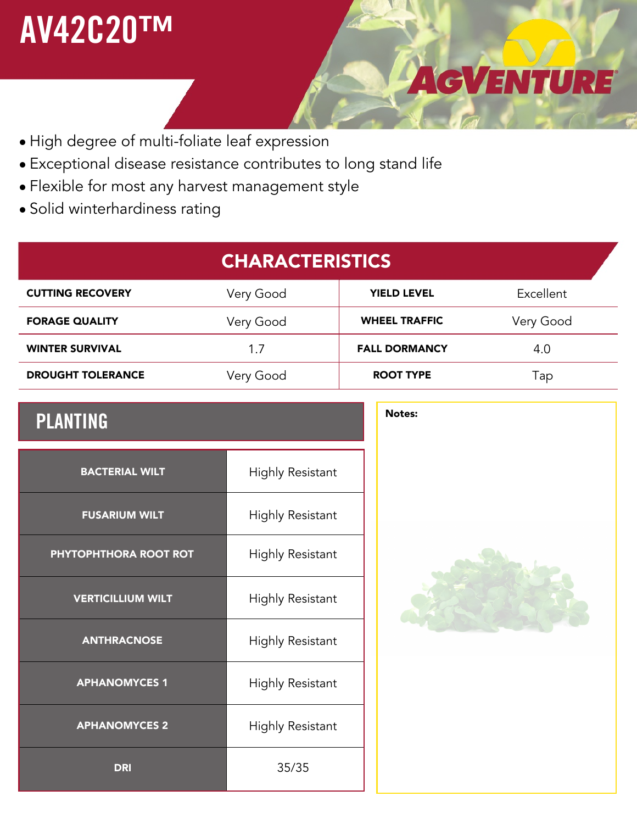## **AV42C20™**

## $\bullet$  High degree of multi-foliate leaf expression

- Exceptional disease resistance contributes to long stand life •
- Flexible for most any harvest management style •
- Solid winterhardiness rating •

## **CHARACTERISTICS CUTTING RECOVERY** Very Good **YIELD LEVEL** Excellent **FORAGE QUALITY** Very Good **WHEEL TRAFFIC** Very Good **WINTER SURVIVAL** 1.7 **DROUGHT TOLERANCE** Very Good **ROOT TYPE FALL DORMANCY** 4.0 Tap

## **PLANTING** Notes:

| <b>BACTERIAL WILT</b>    | <b>Highly Resistant</b> |
|--------------------------|-------------------------|
| <b>FUSARIUM WILT</b>     | <b>Highly Resistant</b> |
| PHYTOPHTHORA ROOT ROT    | <b>Highly Resistant</b> |
| <b>VERTICILLIUM WILT</b> | <b>Highly Resistant</b> |
| <b>ANTHRACNOSE</b>       | <b>Highly Resistant</b> |
| <b>APHANOMYCES 1</b>     | <b>Highly Resistant</b> |
| <b>APHANOMYCES 2</b>     | <b>Highly Resistant</b> |
| <b>DRI</b>               | 35/35                   |



AGVENTURE